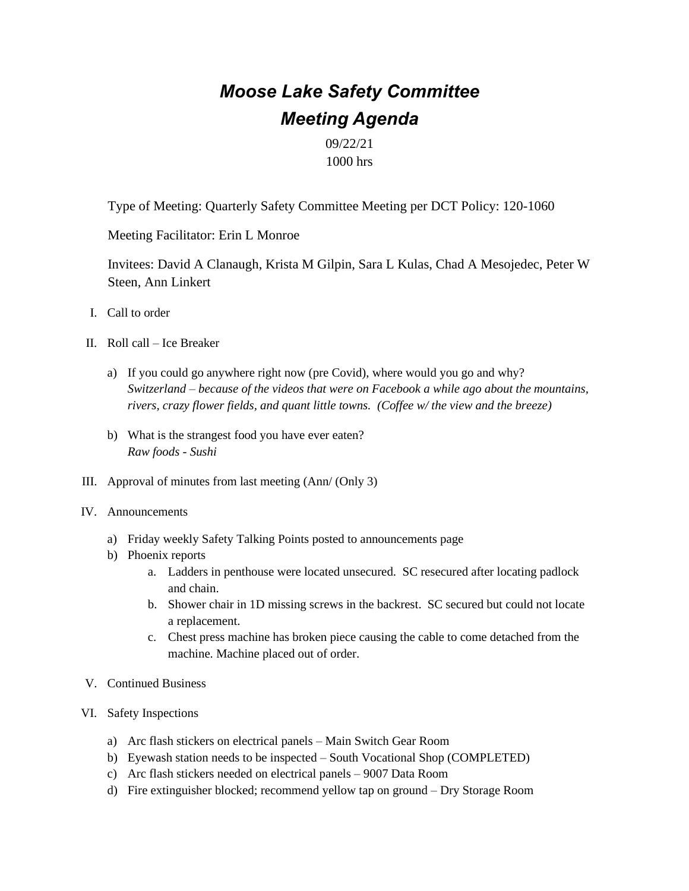## *Moose Lake Safety Committee Meeting Agenda*

09/22/21 1000 hrs

Type of Meeting: Quarterly Safety Committee Meeting per DCT Policy: 120-1060

Meeting Facilitator: Erin L Monroe

Invitees: David A Clanaugh, Krista M Gilpin, Sara L Kulas, Chad A Mesojedec, Peter W Steen, Ann Linkert

- I. Call to order
- II. Roll call Ice Breaker
	- a) If you could go anywhere right now (pre Covid), where would you go and why? *Switzerland – because of the videos that were on Facebook a while ago about the mountains, rivers, crazy flower fields, and quant little towns. (Coffee w/ the view and the breeze)*
	- b) What is the strangest food you have ever eaten? *Raw foods - Sushi*
- III. Approval of minutes from last meeting (Ann/ (Only 3)
- IV. Announcements
	- a) Friday weekly Safety Talking Points posted to announcements page
	- b) Phoenix reports
		- a. Ladders in penthouse were located unsecured. SC resecured after locating padlock and chain.
		- b. Shower chair in 1D missing screws in the backrest. SC secured but could not locate a replacement.
		- c. Chest press machine has broken piece causing the cable to come detached from the machine. Machine placed out of order.
- V. Continued Business
- VI. Safety Inspections
	- a) Arc flash stickers on electrical panels Main Switch Gear Room
	- b) Eyewash station needs to be inspected South Vocational Shop (COMPLETED)
	- c) Arc flash stickers needed on electrical panels 9007 Data Room
	- d) Fire extinguisher blocked; recommend yellow tap on ground Dry Storage Room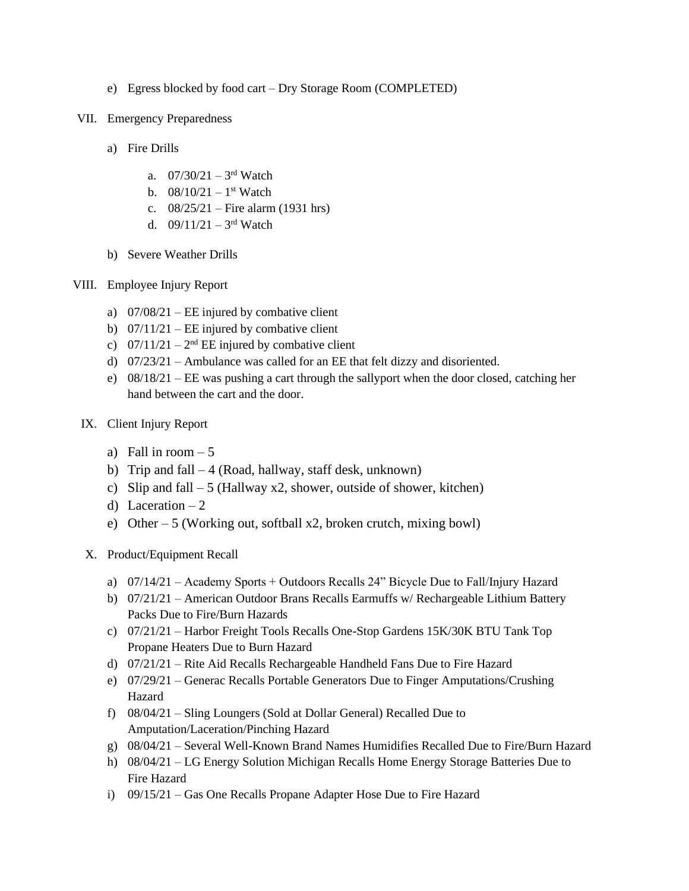- e) Egress blocked by food cart Dry Storage Room (COMPLETED)
- VII. Emergency Preparedness
	- a) Fire Drills
		- a.  $07/30/21 3$ <sup>rd</sup> Watch
		- b.  $08/10/21 1$ <sup>st</sup> Watch
		- c. 08/25/21 Fire alarm (1931 hrs)
		- d.  $09/11/21 3$ <sup>rd</sup> Watch
	- b) Severe Weather Drills
- VIII. Employee Injury Report
	- a)  $07/08/21$  EE injured by combative client
	- b)  $07/11/21$  EE injured by combative client
	- c)  $07/11/21 2^{nd}$  EE injured by combative client
	- d) 07/23/21 Ambulance was called for an EE that felt dizzy and disoriented.
	- e) 08/18/21 EE was pushing a cart through the sallyport when the door closed, catching her hand between the cart and the door.
	- IX. Client Injury Report
		- a) Fall in room  $-5$
		- b) Trip and fall  $-4$  (Road, hallway, staff desk, unknown)
		- c) Slip and fall  $-5$  (Hallway x2, shower, outside of shower, kitchen)
		- d) Laceration  $-2$
		- e) Other 5 (Working out, softball x2, broken crutch, mixing bowl)
	- X. Product/Equipment Recall
		- a) 07/14/21 Academy Sports + Outdoors Recalls 24" Bicycle Due to Fall/Injury Hazard
		- b) 07/21/21 American Outdoor Brans Recalls Earmuffs w/ Rechargeable Lithium Battery Packs Due to Fire/Burn Hazards
		- c) 07/21/21 Harbor Freight Tools Recalls One-Stop Gardens 15K/30K BTU Tank Top Propane Heaters Due to Burn Hazard
		- d) 07/21/21 Rite Aid Recalls Rechargeable Handheld Fans Due to Fire Hazard
		- e) 07/29/21 Generac Recalls Portable Generators Due to Finger Amputations/Crushing Hazard
		- f) 08/04/21 Sling Loungers (Sold at Dollar General) Recalled Due to Amputation/Laceration/Pinching Hazard
		- g) 08/04/21 Several Well-Known Brand Names Humidifies Recalled Due to Fire/Burn Hazard
		- h) 08/04/21 LG Energy Solution Michigan Recalls Home Energy Storage Batteries Due to Fire Hazard
		- i) 09/15/21 Gas One Recalls Propane Adapter Hose Due to Fire Hazard